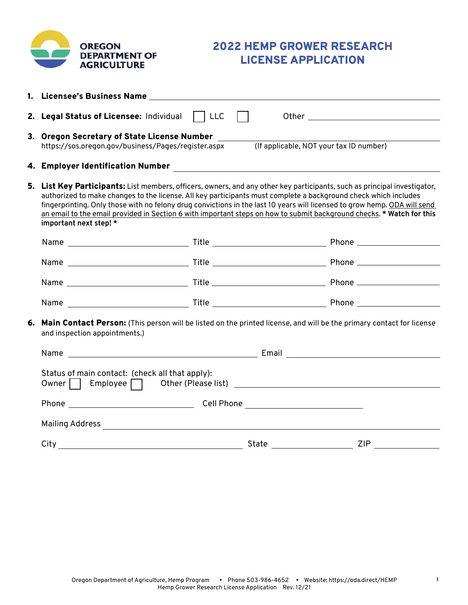

# 2022 HEMP GROWER RESEARCH LICENSE APPLICATION

|                                                                                                                                                          | 2. Legal Status of Licensee: Individual     LLC                                                                                                                                                                                                                                                                                                                                                                                                                                                                              |  |                                                                                                                                                                                                                                                                                                                                                                                                                                                                         |  |
|----------------------------------------------------------------------------------------------------------------------------------------------------------|------------------------------------------------------------------------------------------------------------------------------------------------------------------------------------------------------------------------------------------------------------------------------------------------------------------------------------------------------------------------------------------------------------------------------------------------------------------------------------------------------------------------------|--|-------------------------------------------------------------------------------------------------------------------------------------------------------------------------------------------------------------------------------------------------------------------------------------------------------------------------------------------------------------------------------------------------------------------------------------------------------------------------|--|
|                                                                                                                                                          | 3. Oregon Secretary of State License Number ______<br>https://sos.oregon.gov/business/Pages/register.aspx                                                                                                                                                                                                                                                                                                                                                                                                                    |  | (If applicable, NOT your tax ID number)                                                                                                                                                                                                                                                                                                                                                                                                                                 |  |
|                                                                                                                                                          |                                                                                                                                                                                                                                                                                                                                                                                                                                                                                                                              |  |                                                                                                                                                                                                                                                                                                                                                                                                                                                                         |  |
|                                                                                                                                                          | 5. List Key Participants: List members, officers, owners, and any other key participants, such as principal investigator,<br>authorized to make changes to the license. All key participants must complete a background check which includes<br>fingerprinting. Only those with no felony drug convictions in the last 10 years will licensed to grow hemp. ODA will send<br>an email to the email provided in Section 6 with important steps on how to submit background checks. * Watch for this<br>important next step! * |  |                                                                                                                                                                                                                                                                                                                                                                                                                                                                         |  |
|                                                                                                                                                          |                                                                                                                                                                                                                                                                                                                                                                                                                                                                                                                              |  |                                                                                                                                                                                                                                                                                                                                                                                                                                                                         |  |
|                                                                                                                                                          |                                                                                                                                                                                                                                                                                                                                                                                                                                                                                                                              |  |                                                                                                                                                                                                                                                                                                                                                                                                                                                                         |  |
|                                                                                                                                                          |                                                                                                                                                                                                                                                                                                                                                                                                                                                                                                                              |  |                                                                                                                                                                                                                                                                                                                                                                                                                                                                         |  |
|                                                                                                                                                          |                                                                                                                                                                                                                                                                                                                                                                                                                                                                                                                              |  |                                                                                                                                                                                                                                                                                                                                                                                                                                                                         |  |
| 6. Main Contact Person: (This person will be listed on the printed license, and will be the primary contact for license<br>and inspection appointments.) |                                                                                                                                                                                                                                                                                                                                                                                                                                                                                                                              |  |                                                                                                                                                                                                                                                                                                                                                                                                                                                                         |  |
|                                                                                                                                                          |                                                                                                                                                                                                                                                                                                                                                                                                                                                                                                                              |  |                                                                                                                                                                                                                                                                                                                                                                                                                                                                         |  |
|                                                                                                                                                          | Status of main contact: (check all that apply):<br>Owner Employee definition of the CPlease list) contract to the Employee of the CPlease list)                                                                                                                                                                                                                                                                                                                                                                              |  |                                                                                                                                                                                                                                                                                                                                                                                                                                                                         |  |
|                                                                                                                                                          |                                                                                                                                                                                                                                                                                                                                                                                                                                                                                                                              |  |                                                                                                                                                                                                                                                                                                                                                                                                                                                                         |  |
|                                                                                                                                                          |                                                                                                                                                                                                                                                                                                                                                                                                                                                                                                                              |  |                                                                                                                                                                                                                                                                                                                                                                                                                                                                         |  |
|                                                                                                                                                          |                                                                                                                                                                                                                                                                                                                                                                                                                                                                                                                              |  | ZIP<br>State ______________________<br>$\overline{\phantom{a}}$ . The contract of $\overline{\phantom{a}}$ , $\overline{\phantom{a}}$ , $\overline{\phantom{a}}$ , $\overline{\phantom{a}}$ , $\overline{\phantom{a}}$ , $\overline{\phantom{a}}$ , $\overline{\phantom{a}}$ , $\overline{\phantom{a}}$ , $\overline{\phantom{a}}$ , $\overline{\phantom{a}}$ , $\overline{\phantom{a}}$ , $\overline{\phantom{a}}$ , $\overline{\phantom{a}}$ , $\overline{\phantom{a$ |  |

**1**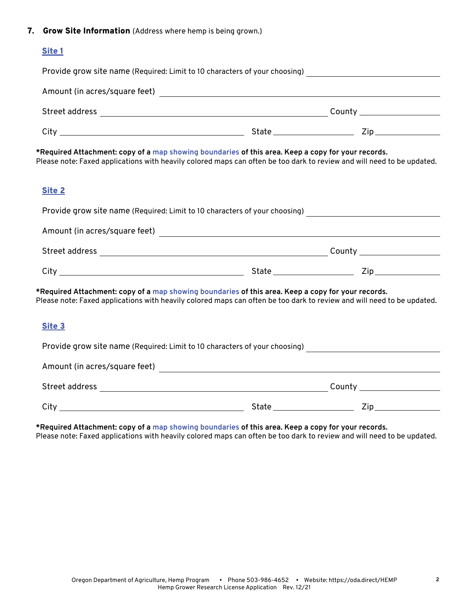#### 7. Grow Site Information (Address where hemp is being grown.)

## Site 1

| Provide grow site name (Required: Limit to 10 characters of your choosing) _________________________                                                                                                                         |  |  |  |  |
|------------------------------------------------------------------------------------------------------------------------------------------------------------------------------------------------------------------------------|--|--|--|--|
|                                                                                                                                                                                                                              |  |  |  |  |
|                                                                                                                                                                                                                              |  |  |  |  |
|                                                                                                                                                                                                                              |  |  |  |  |
| *Required Attachment: copy of a map showing boundaries of this area. Keep a copy for your records.<br>Please note: Faxed applications with heavily colored maps can often be too dark to review and will need to be updated. |  |  |  |  |
| Site 2                                                                                                                                                                                                                       |  |  |  |  |
| Provide grow site name (Required: Limit to 10 characters of your choosing) ___________________________________                                                                                                               |  |  |  |  |
|                                                                                                                                                                                                                              |  |  |  |  |
|                                                                                                                                                                                                                              |  |  |  |  |
|                                                                                                                                                                                                                              |  |  |  |  |
| *Required Attachment: copy of a map showing boundaries of this area. Keep a copy for your records.<br>Please note: Faxed applications with heavily colored maps can often be too dark to review and will need to be updated. |  |  |  |  |
| Site 3                                                                                                                                                                                                                       |  |  |  |  |
| Provide grow site name (Required: Limit to 10 characters of your choosing) ___________________________________                                                                                                               |  |  |  |  |
|                                                                                                                                                                                                                              |  |  |  |  |

| Street address | County |    |
|----------------|--------|----|
| City           | State  | -- |

**\*Required Attachment: copy of a [map showing boundaries](https://oda.fyi/HempMapTool) of this area. Keep a copy for your records.** Please note: Faxed applications with heavily colored maps can often be too dark to review and will need to be updated.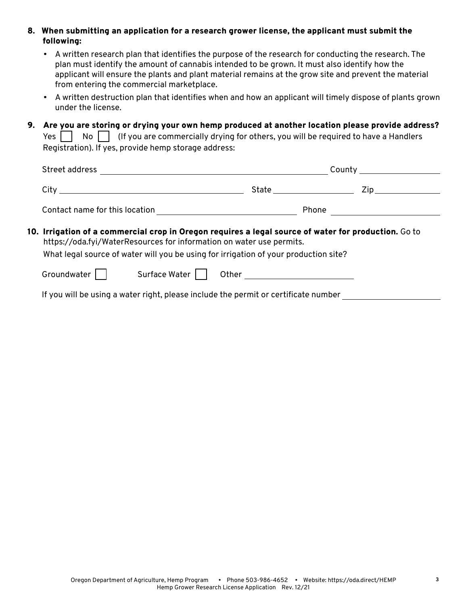8. When submitting an application for a research grower license, the applicant must submit the following:

- A written research plan that identifies the purpose of the research for conducting the research. The plan must identify the amount of cannabis intended to be grown. It must also identify how the applicant will ensure the plants and plant material remains at the grow site and prevent the material from entering the commercial marketplace.
- A written destruction plan that identifies when and how an applicant will timely dispose of plants grown under the license.
- 9. Are you are storing or drying your own hemp produced at another location please provide address?

Yes  $\Box$  No  $\Box$  (If you are commercially drying for others, you will be required to have a Handlers Registration). If yes, provide hemp storage address:

| Street address                                                                                                                                                                                                                                                                  |               |                                |                              |                     |
|---------------------------------------------------------------------------------------------------------------------------------------------------------------------------------------------------------------------------------------------------------------------------------|---------------|--------------------------------|------------------------------|---------------------|
|                                                                                                                                                                                                                                                                                 |               |                                | State ______________________ | Zip________________ |
|                                                                                                                                                                                                                                                                                 |               |                                |                              |                     |
| 10. Irrigation of a commercial crop in Oregon requires a legal source of water for production. $\mathsf{Go}$ to<br>https://oda.fyi/WaterResources for information on water use permits.<br>What legal source of water will you be using for irrigation of your production site? |               |                                |                              |                     |
| Groundwater                                                                                                                                                                                                                                                                     | Surface Water | Other ________________________ |                              |                     |
| If you will be using a water right, please include the permit or certificate number                                                                                                                                                                                             |               |                                |                              |                     |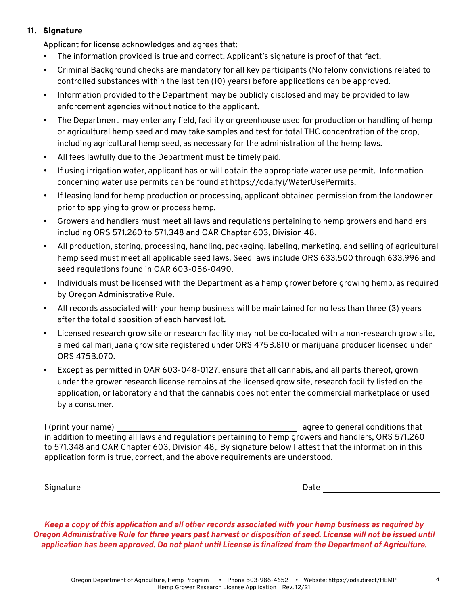## 11. Signature

Applicant for license acknowledges and agrees that:

- The information provided is true and correct. Applicant's signature is proof of that fact.
- Criminal Background checks are mandatory for all key participants (No felony convictions related to controlled substances within the last ten (10) years) before applications can be approved.
- Information provided to the Department may be publicly disclosed and may be provided to law enforcement agencies without notice to the applicant.
- The Department may enter any field, facility or greenhouse used for production or handling of hemp or agricultural hemp seed and may take samples and test for total THC concentration of the crop, including agricultural hemp seed, as necessary for the administration of the hemp laws.
- All fees lawfully due to the Department must be timely paid.
- If using irrigation water, applicant has or will obtain the appropriate water use permit. Information concerning water use permits can be found at https://oda.fyi/WaterUsePermits.
- If leasing land for hemp production or processing, applicant obtained permission from the landowner prior to applying to grow or process hemp.
- Growers and handlers must meet all laws and regulations pertaining to hemp growers and handlers including ORS 571.260 to 571.348 and OAR Chapter 603, Division 48.
- All production, storing, processing, handling, packaging, labeling, marketing, and selling of agricultural hemp seed must meet all applicable seed laws. Seed laws include ORS 633.500 through 633.996 and seed regulations found in OAR 603-056-0490.
- Individuals must be licensed with the Department as a hemp grower before growing hemp, as required by Oregon Administrative Rule.
- All records associated with your hemp business will be maintained for no less than three (3) years after the total disposition of each harvest lot.
- Licensed research grow site or research facility may not be co-located with a non-research grow site, a medical marijuana grow site registered under ORS 475B.810 or marijuana producer licensed under ORS 475B.070.
- Except as permitted in OAR 603-048-0127, ensure that all cannabis, and all parts thereof, grown under the grower research license remains at the licensed grow site, research facility listed on the application, or laboratory and that the cannabis does not enter the commercial marketplace or used by a consumer.

I (print your name) agree to general conditions that in addition to meeting all laws and regulations pertaining to hemp growers and handlers, ORS 571.260 to 571.348 and OAR Chapter 603, Division 48,. By signature below I attest that the information in this application form is true, correct, and the above requirements are understood.

Signature Date

*Keep a copy of this application and all other records associated with your hemp business as required by Oregon Administrative Rule for three years past harvest or disposition of seed. License will not be issued until application has been approved. Do not plant until License is finalized from the Department of Agriculture.*